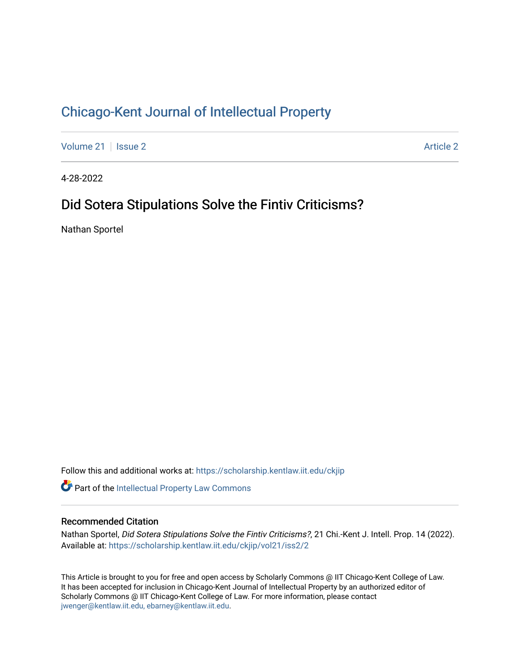# [Chicago-Kent Journal of Intellectual Property](https://scholarship.kentlaw.iit.edu/ckjip)

[Volume 21](https://scholarship.kentlaw.iit.edu/ckjip/vol21) | [Issue 2](https://scholarship.kentlaw.iit.edu/ckjip/vol21/iss2) [Article 2](https://scholarship.kentlaw.iit.edu/ckjip/vol21/iss2/2) Article 2 Article 2 Article 2 Article 2 Article 2 Article 2 Article 2 Article 2

4-28-2022

# Did Sotera Stipulations Solve the Fintiv Criticisms?

Nathan Sportel

Follow this and additional works at: [https://scholarship.kentlaw.iit.edu/ckjip](https://scholarship.kentlaw.iit.edu/ckjip?utm_source=scholarship.kentlaw.iit.edu%2Fckjip%2Fvol21%2Fiss2%2F2&utm_medium=PDF&utm_campaign=PDFCoverPages) 

Part of the [Intellectual Property Law Commons](http://network.bepress.com/hgg/discipline/896?utm_source=scholarship.kentlaw.iit.edu%2Fckjip%2Fvol21%2Fiss2%2F2&utm_medium=PDF&utm_campaign=PDFCoverPages) 

# Recommended Citation

Nathan Sportel, Did Sotera Stipulations Solve the Fintiv Criticisms?, 21 Chi.-Kent J. Intell. Prop. 14 (2022). Available at: [https://scholarship.kentlaw.iit.edu/ckjip/vol21/iss2/2](https://scholarship.kentlaw.iit.edu/ckjip/vol21/iss2/2?utm_source=scholarship.kentlaw.iit.edu%2Fckjip%2Fvol21%2Fiss2%2F2&utm_medium=PDF&utm_campaign=PDFCoverPages) 

This Article is brought to you for free and open access by Scholarly Commons @ IIT Chicago-Kent College of Law. It has been accepted for inclusion in Chicago-Kent Journal of Intellectual Property by an authorized editor of Scholarly Commons @ IIT Chicago-Kent College of Law. For more information, please contact [jwenger@kentlaw.iit.edu, ebarney@kentlaw.iit.edu.](mailto:jwenger@kentlaw.iit.edu,%20ebarney@kentlaw.iit.edu)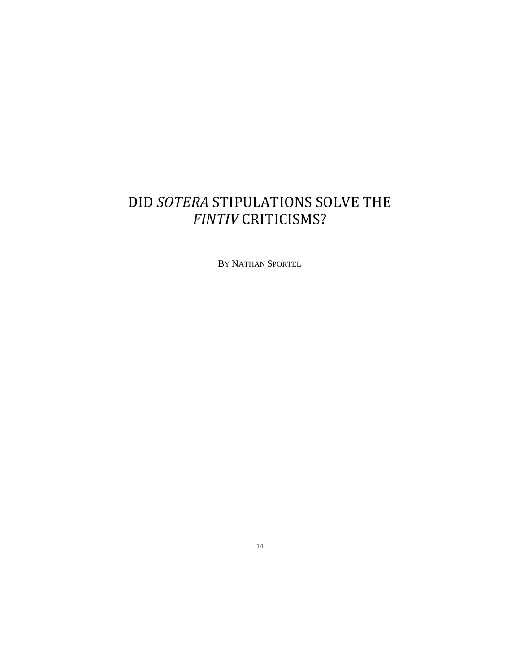# DID *SOTERA* STIPULATIONS SOLVE THE *FINTIV* CRITICISMS?

BY NATHAN SPORTEL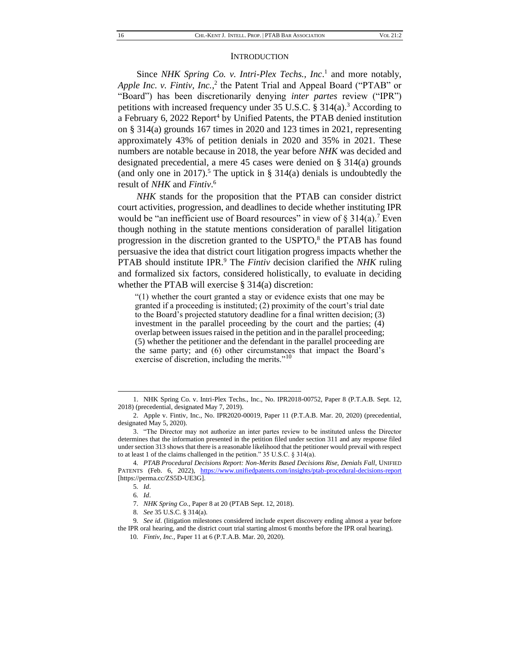#### **INTRODUCTION**

Since *NHK Spring Co. v. Intri-Plex Techs., Inc.*<sup>1</sup> and more notably, Apple Inc. v. Fintiv, Inc.,<sup>2</sup> the Patent Trial and Appeal Board ("PTAB" or "Board") has been discretionarily denying *inter partes* review ("IPR") petitions with increased frequency under 35 U.S.C.  $\S$  314(a).<sup>3</sup> According to a February 6, 2022 Report<sup>4</sup> by Unified Patents, the PTAB denied institution on § 314(a) grounds 167 times in 2020 and 123 times in 2021, representing approximately 43% of petition denials in 2020 and 35% in 2021. These numbers are notable because in 2018, the year before *NHK* was decided and designated precedential, a mere 45 cases were denied on § 314(a) grounds (and only one in 2017).<sup>5</sup> The uptick in § 314(a) denials is undoubtedly the result of *NHK* and *Fintiv*. 6

*NHK* stands for the proposition that the PTAB can consider district court activities, progression, and deadlines to decide whether instituting IPR would be "an inefficient use of Board resources" in view of  $\S 314(a)$ . Even though nothing in the statute mentions consideration of parallel litigation progression in the discretion granted to the USPTO,<sup>8</sup> the PTAB has found persuasive the idea that district court litigation progress impacts whether the PTAB should institute IPR.<sup>9</sup> The *Fintiv* decision clarified the *NHK* ruling and formalized six factors, considered holistically, to evaluate in deciding whether the PTAB will exercise § 314(a) discretion:

"(1) whether the court granted a stay or evidence exists that one may be granted if a proceeding is instituted; (2) proximity of the court's trial date to the Board's projected statutory deadline for a final written decision; (3) investment in the parallel proceeding by the court and the parties; (4) overlap between issues raised in the petition and in the parallel proceeding; (5) whether the petitioner and the defendant in the parallel proceeding are the same party; and (6) other circumstances that impact the Board's exercise of discretion, including the merits."<sup>10</sup>

<sup>1.</sup> NHK Spring Co. v. Intri-Plex Techs., Inc., No. IPR2018-00752, Paper 8 (P.T.A.B. Sept. 12, 2018) (precedential, designated May 7, 2019).

<sup>2.</sup> Apple v. Fintiv, Inc., No. IPR2020-00019, Paper 11 (P.T.A.B. Mar. 20, 2020) (precedential, designated May 5, 2020).

<sup>3.</sup> "The Director may not authorize an inter partes review to be instituted unless the Director determines that the information presented in the petition filed under section 311 and any response filed under section 313 shows that there is a reasonable likelihood that the petitioner would prevail with respect to at least 1 of the claims challenged in the petition." 35 U.S.C. § 314(a).

<sup>4</sup>*. PTAB Procedural Decisions Report: Non-Merits Based Decisions Rise, Denials Fall*, UNIFIED PATENTS (Feb. 6, 2022), <https://www.unifiedpatents.com/insights/ptab-procedural-decisions-report> [https://perma.cc/ZS5D-UE3G].

<sup>5</sup>*. Id*.

<sup>6</sup>*. Id*.

<sup>7.</sup> *NHK Spring Co.*, Paper 8 at 20 (PTAB Sept. 12, 2018).

<sup>8</sup>*. See* 35 U.S.C. § 314(a).

<sup>9</sup>*. See id*. (litigation milestones considered include expert discovery ending almost a year before the IPR oral hearing, and the district court trial starting almost 6 months before the IPR oral hearing).

<sup>10</sup>*. Fintiv, Inc.,* Paper 11 at 6 (P.T.A.B. Mar. 20, 2020).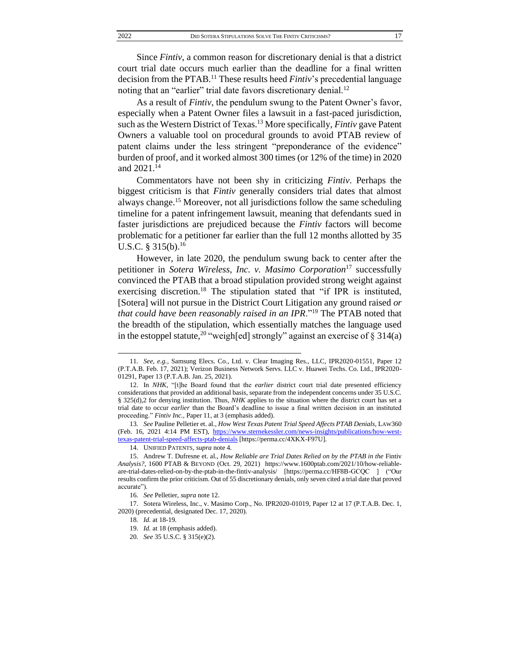Since *Fintiv*, a common reason for discretionary denial is that a district court trial date occurs much earlier than the deadline for a final written decision from the PTAB.<sup>11</sup> These results heed *Fintiv*'s precedential language noting that an "earlier" trial date favors discretionary denial.<sup>12</sup>

As a result of *Fintiv*, the pendulum swung to the Patent Owner's favor, especially when a Patent Owner files a lawsuit in a fast-paced jurisdiction, such as the Western District of Texas.<sup>13</sup> More specifically, *Fintiv* gave Patent Owners a valuable tool on procedural grounds to avoid PTAB review of patent claims under the less stringent "preponderance of the evidence" burden of proof, and it worked almost 300 times (or 12% of the time) in 2020 and 2021.<sup>14</sup>

Commentators have not been shy in criticizing *Fintiv*. Perhaps the biggest criticism is that *Fintiv* generally considers trial dates that almost always change.<sup>15</sup> Moreover, not all jurisdictions follow the same scheduling timeline for a patent infringement lawsuit, meaning that defendants sued in faster jurisdictions are prejudiced because the *Fintiv* factors will become problematic for a petitioner far earlier than the full 12 months allotted by 35 U.S.C. § 315(b).<sup>16</sup>

However, in late 2020, the pendulum swung back to center after the petitioner in *Sotera Wireless, Inc. v. Masimo Corporation*<sup>17</sup> successfully convinced the PTAB that a broad stipulation provided strong weight against exercising discretion.<sup>18</sup> The stipulation stated that "if IPR is instituted, [Sotera] will not pursue in the District Court Litigation any ground raised *or that could have been reasonably raised in an IPR*."<sup>19</sup> The PTAB noted that the breadth of the stipulation, which essentially matches the language used in the estoppel statute,<sup>20</sup> "weigh[ed] strongly" against an exercise of  $\S 314(a)$ 

<sup>11</sup>*. See, e.g.*, Samsung Elecs. Co., Ltd. v. Clear Imaging Res., LLC, IPR2020-01551, Paper 12 (P.T.A.B. Feb. 17, 2021); Verizon Business Network Servs. LLC v. Huawei Techs. Co. Ltd., IPR2020- 01291, Paper 13 (P.T.A.B. Jan. 25, 2021).

<sup>12.</sup> In *NHK*, "[t]he Board found that the *earlier* district court trial date presented efficiency considerations that provided an additional basis, separate from the independent concerns under 35 U.S.C. § 325(d),2 for denying institution. Thus, *NHK* applies to the situation where the district court has set a trial date to occur *earlier* than the Board's deadline to issue a final written decision in an instituted proceeding." *Fintiv Inc.*, Paper 11, at 3 (emphasis added).

<sup>13</sup>*. See* Pauline Pelletier et. al., *How West Texas Patent Trial Speed Affects PTAB Denials*, LAW360 (Feb. 16, 2021 4:14 PM EST), [https://www.sternekessler.com/news-insights/publications/how-west](https://www.sternekessler.com/news-insights/publications/how-west-texas-patent-trial-speed-affects-ptab-denials)[texas-patent-trial-speed-affects-ptab-denials](https://www.sternekessler.com/news-insights/publications/how-west-texas-patent-trial-speed-affects-ptab-denials) [https://perma.cc/4XKX-F97U].

<sup>14.</sup> UNIFIED PATENTS, *supra* note 4.

<sup>15.</sup> Andrew T. Dufresne et. al., *How Reliable are Trial Dates Relied on by the PTAB in the* Fintiv *Analysis?*, 1600 PTAB & BEYOND (Oct. 29, 2021) https://www.1600ptab.com/2021/10/how-reliableare-trial-dates-relied-on-by-the-ptab-in-the-fintiv-analysis/ [https://perma.cc/HF8B-GCQC ] ("Our results confirm the prior criticism. Out of 55 discretionary denials, only seven cited a trial date that proved accurate").

<sup>16</sup>*. See* Pelletier, *supra* note 12.

<sup>17.</sup> Sotera Wireless, Inc., v. Masimo Corp., No. IPR2020-01019, Paper 12 at 17 (P.T.A.B. Dec. 1, 2020) (precedential, designated Dec. 17, 2020).

<sup>18</sup>*. Id.* at 18-19.

<sup>19.</sup> *Id.* at 18 (emphasis added).

<sup>20</sup>*. See* 35 U.S.C. § 315(e)(2).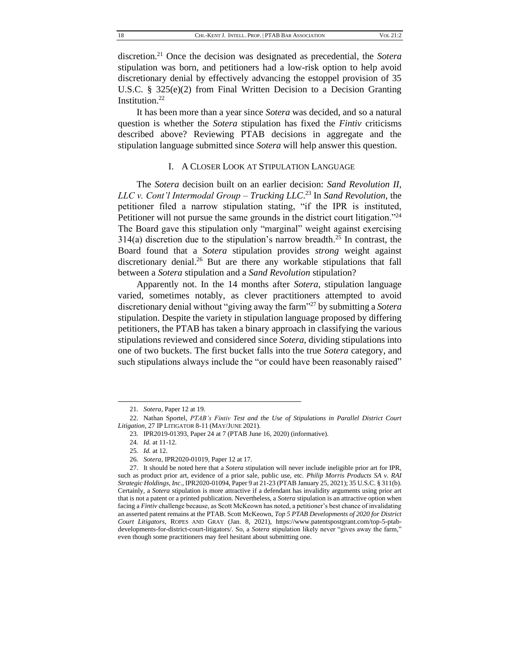discretion.<sup>21</sup> Once the decision was designated as precedential, the *Sotera*  stipulation was born, and petitioners had a low-risk option to help avoid discretionary denial by effectively advancing the estoppel provision of 35 U.S.C. § 325(e)(2) from Final Written Decision to a Decision Granting Institution.<sup>22</sup>

It has been more than a year since *Sotera* was decided, and so a natural question is whether the *Sotera* stipulation has fixed the *Fintiv* criticisms described above? Reviewing PTAB decisions in aggregate and the stipulation language submitted since *Sotera* will help answer this question.

## I. A CLOSER LOOK AT STIPULATION LANGUAGE

The *Sotera* decision built on an earlier decision: *Sand Revolution II, LLC v. Cont'l Intermodal Group – Trucking LLC*. <sup>23</sup> In *Sand Revolution*, the petitioner filed a narrow stipulation stating, "if the IPR is instituted, Petitioner will not pursue the same grounds in the district court litigation."<sup>24</sup> The Board gave this stipulation only "marginal" weight against exercising  $314(a)$  discretion due to the stipulation's narrow breadth.<sup>25</sup> In contrast, the Board found that a *Sotera* stipulation provides *strong* weight against discretionary denial.<sup>26</sup> But are there any workable stipulations that fall between a *Sotera* stipulation and a *Sand Revolution* stipulation?

Apparently not. In the 14 months after *Sotera*, stipulation language varied, sometimes notably, as clever practitioners attempted to avoid discretionary denial without "giving away the farm"<sup>27</sup> by submitting a *Sotera*  stipulation. Despite the variety in stipulation language proposed by differing petitioners, the PTAB has taken a binary approach in classifying the various stipulations reviewed and considered since *Sotera*, dividing stipulations into one of two buckets. The first bucket falls into the true *Sotera* category, and such stipulations always include the "or could have been reasonably raised"

26*. Sotera*, IPR2020-01019, Paper 12 at 17.

<sup>21</sup>*. Sotera*, Paper 12 at 19.

<sup>22.</sup> Nathan Sportel, *PTAB's Fintiv Test and the Use of Stipulations in Parallel District Court Litigation*, 27 IP LITIGATOR 8-11 (MAY/JUNE 2021).

<sup>23.</sup> IPR2019-01393, Paper 24 at 7 (PTAB June 16, 2020) (informative).

<sup>24</sup>*. Id.* at 11-12.

<sup>25</sup>*. Id.* at 12.

<sup>27.</sup> It should be noted here that a *Sotera* stipulation will never include ineligible prior art for IPR, such as product prior art, evidence of a prior sale, public use, etc. *Philip Morris Products SA v. RAI Strategic Holdings, Inc*., IPR2020-01094, Paper 9 at 21-23 (PTAB January 25, 2021); 35 U.S.C. § 311(b). Certainly, a *Sotera* stipulation is more attractive if a defendant has invalidity arguments using prior art that is not a patent or a printed publication. Nevertheless, a *Sotera* stipulation is an attractive option when facing a *Fintiv* challenge because, as Scott McKeown has noted, a petitioner's best chance of invalidating an asserted patent remains at the PTAB. Scott McKeown, *Top 5 PTAB Developments of 2020 for District Court Litigators*, ROPES AND GRAY (Jan. 8, 2021), https://www.patentspostgrant.com/top-5-ptabdevelopments-for-district-court-litigators/. So, a *Sotera* stipulation likely never "gives away the farm," even though some practitioners may feel hesitant about submitting one.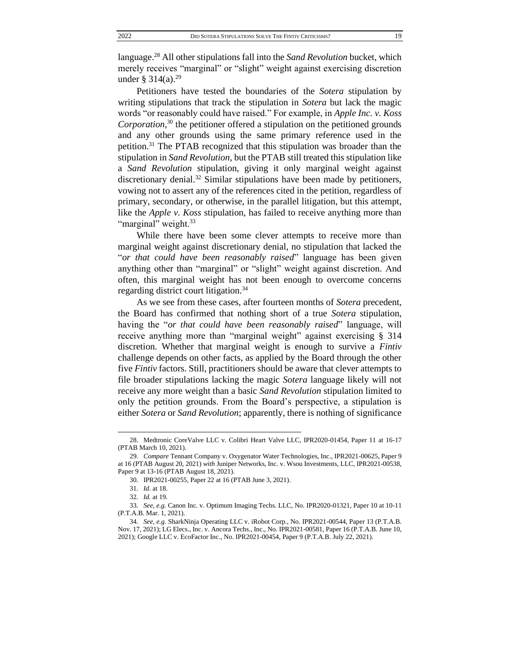language.<sup>28</sup> All other stipulations fall into the *Sand Revolution* bucket, which merely receives "marginal" or "slight" weight against exercising discretion under § 314(a).<sup>29</sup>

Petitioners have tested the boundaries of the *Sotera* stipulation by writing stipulations that track the stipulation in *Sotera* but lack the magic words "or reasonably could have raised." For example, in *Apple Inc. v. Koss Corporation*, <sup>30</sup> the petitioner offered a stipulation on the petitioned grounds and any other grounds using the same primary reference used in the petition.<sup>31</sup> The PTAB recognized that this stipulation was broader than the stipulation in *Sand Revolution*, but the PTAB still treated this stipulation like a *Sand Revolution* stipulation, giving it only marginal weight against discretionary denial.<sup>32</sup> Similar stipulations have been made by petitioners, vowing not to assert any of the references cited in the petition, regardless of primary, secondary, or otherwise, in the parallel litigation, but this attempt, like the *Apple v. Koss* stipulation, has failed to receive anything more than "marginal" weight.<sup>33</sup>

While there have been some clever attempts to receive more than marginal weight against discretionary denial, no stipulation that lacked the "*or that could have been reasonably raised*" language has been given anything other than "marginal" or "slight" weight against discretion. And often, this marginal weight has not been enough to overcome concerns regarding district court litigation.<sup>34</sup>

As we see from these cases, after fourteen months of *Sotera* precedent, the Board has confirmed that nothing short of a true *Sotera* stipulation, having the "*or that could have been reasonably raised*" language, will receive anything more than "marginal weight" against exercising § 314 discretion. Whether that marginal weight is enough to survive a *Fintiv* challenge depends on other facts, as applied by the Board through the other five *Fintiv* factors. Still, practitioners should be aware that clever attempts to file broader stipulations lacking the magic *Sotera* language likely will not receive any more weight than a basic *Sand Revolution* stipulation limited to only the petition grounds. From the Board's perspective, a stipulation is either *Sotera* or *Sand Revolution*; apparently, there is nothing of significance

<sup>28.</sup> Medtronic CoreValve LLC v. Colibri Heart Valve LLC, IPR2020-01454, Paper 11 at 16-17 (PTAB March 10, 2021).

<sup>29</sup>*. Compare* Tennant Company v. Oxygenator Water Technologies, Inc., IPR2021-00625, Paper 9 at 16 (PTAB August 20, 2021) *with* Juniper Networks, Inc. v. Wsou Investments, LLC, IPR2021-00538, Paper 9 at 13-16 (PTAB August 18, 2021).

<sup>30.</sup> IPR2021-00255, Paper 22 at 16 (PTAB June 3, 2021).

<sup>31</sup>*. Id*. at 18.

<sup>32</sup>*. Id.* at 19.

<sup>33</sup>*. See, e.g.* Canon Inc. v. Optimum Imaging Techs. LLC, No. IPR2020-01321, Paper 10 at 10-11 (P.T.A.B. Mar. 1, 2021).

<sup>34</sup>*. See, e.g.* SharkNinja Operating LLC v. iRobot Corp., No. IPR2021-00544, Paper 13 (P.T.A.B. Nov. 17, 2021); LG Elecs., Inc. v. Ancora Techs., Inc., No. IPR2021-00581, Paper 16 (P.T.A.B. June 10, 2021); Google LLC v. EcoFactor Inc., No. IPR2021-00454, Paper 9 (P.T.A.B. July 22, 2021).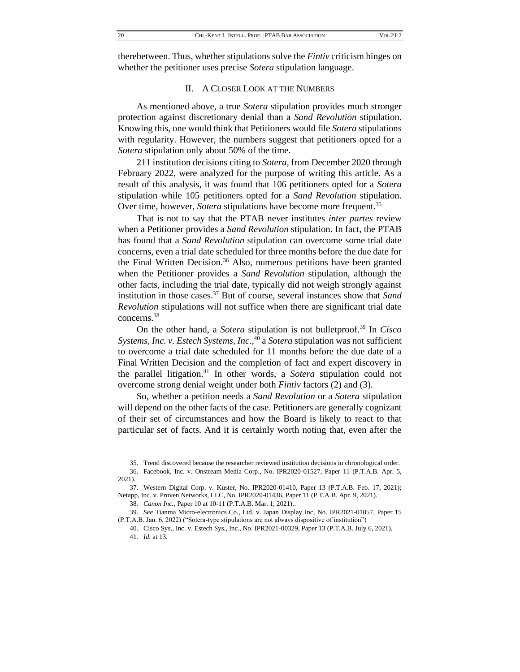therebetween. Thus, whether stipulations solve the *Fintiv* criticism hinges on whether the petitioner uses precise *Sotera* stipulation language.

# II. A CLOSER LOOK AT THE NUMBERS

As mentioned above, a true *Sotera* stipulation provides much stronger protection against discretionary denial than a *Sand Revolution* stipulation. Knowing this, one would think that Petitioners would file *Sotera* stipulations with regularity. However, the numbers suggest that petitioners opted for a *Sotera* stipulation only about 50% of the time.

211 institution decisions citing to *Sotera,* from December 2020 through February 2022, were analyzed for the purpose of writing this article. As a result of this analysis, it was found that 106 petitioners opted for a *Sotera*  stipulation while 105 petitioners opted for a *Sand Revolution* stipulation. Over time, however, *Sotera* stipulations have become more frequent.<sup>35</sup>

That is not to say that the PTAB never institutes *inter partes* review when a Petitioner provides a *Sand Revolution* stipulation. In fact, the PTAB has found that a *Sand Revolution* stipulation can overcome some trial date concerns, even a trial date scheduled for three months before the due date for the Final Written Decision.<sup>36</sup> Also, numerous petitions have been granted when the Petitioner provides a *Sand Revolution* stipulation, although the other facts, including the trial date, typically did not weigh strongly against institution in those cases.<sup>37</sup> But of course, several instances show that *Sand Revolution* stipulations will not suffice when there are significant trial date concerns.<sup>38</sup>

On the other hand, a *Sotera* stipulation is not bulletproof.<sup>39</sup> In *Cisco Systems, Inc. v. Estech Systems, Inc*., <sup>40</sup> a *Sotera* stipulation was not sufficient to overcome a trial date scheduled for 11 months before the due date of a Final Written Decision and the completion of fact and expert discovery in the parallel litigation.<sup>41</sup> In other words, a *Sotera* stipulation could not overcome strong denial weight under both *Fintiv* factors (2) and (3).

So, whether a petition needs a *Sand Revolution* or a *Sotera* stipulation will depend on the other facts of the case. Petitioners are generally cognizant of their set of circumstances and how the Board is likely to react to that particular set of facts. And it is certainly worth noting that, even after the

<sup>35.</sup> Trend discovered because the researcher reviewed institution decisions in chronological order.

<sup>36.</sup> Facebook, Inc. v. Onstream Media Corp., No. IPR2020-01527, Paper 11 (P.T.A.B. Apr. 5, 2021).

<sup>37.</sup> Western Digital Corp. v. Kuster, No. IPR2020-01410, Paper 13 (P.T.A.B. Feb. 17, 2021); Netapp, Inc. v. Proven Networks, LLC, No. IPR2020-01436, Paper 11 (P.T.A.B. Apr. 9, 2021).

<sup>38</sup>*. Canon Inc.,* Paper 10 at 10-11 (P.T.A.B. Mar. 1, 2021)..

<sup>39</sup>*. See* Tianma Micro-electronics Co., Ltd. v. Japan Display Inc*,* No. IPR2021-01057, Paper 15 (P.T.A.B. Jan. 6, 2022) ("Sotera-type stipulations are not always dispositive of institution")

<sup>40.</sup> Cisco Sys., Inc. v. Estech Sys., Inc., No. IPR2021-00329, Paper 13 (P.T.A.B. July 6, 2021). 41*. Id.* at 13.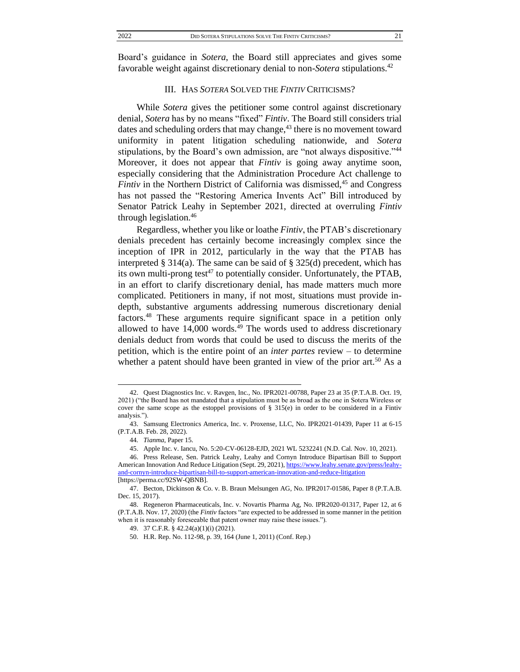Board's guidance in *Sotera*, the Board still appreciates and gives some favorable weight against discretionary denial to non-*Sotera* stipulations.<sup>42</sup>

### III. HAS *SOTERA* SOLVED THE *FINTIV* CRITICISMS?

While *Sotera* gives the petitioner some control against discretionary denial, *Sotera* has by no means "fixed" *Fintiv*. The Board still considers trial dates and scheduling orders that may change, $43$  there is no movement toward uniformity in patent litigation scheduling nationwide, and *Sotera*  stipulations, by the Board's own admission, are "not always dispositive."<sup>44</sup> Moreover, it does not appear that *Fintiv* is going away anytime soon, especially considering that the Administration Procedure Act challenge to *Fintiv* in the Northern District of California was dismissed,<sup>45</sup> and Congress has not passed the "Restoring America Invents Act" Bill introduced by Senator Patrick Leahy in September 2021, directed at overruling *Fintiv*  through legislation.<sup>46</sup>

Regardless, whether you like or loathe *Fintiv*, the PTAB's discretionary denials precedent has certainly become increasingly complex since the inception of IPR in 2012, particularly in the way that the PTAB has interpreted  $\S 314(a)$ . The same can be said of  $\S 325(d)$  precedent, which has its own multi-prong test<sup>47</sup> to potentially consider. Unfortunately, the PTAB, in an effort to clarify discretionary denial, has made matters much more complicated. Petitioners in many, if not most, situations must provide indepth, substantive arguments addressing numerous discretionary denial factors.<sup>48</sup> These arguments require significant space in a petition only allowed to have  $14,000$  words.<sup>49</sup> The words used to address discretionary denials deduct from words that could be used to discuss the merits of the petition, which is the entire point of an *inter partes* review – to determine whether a patent should have been granted in view of the prior art.<sup>50</sup> As a

<sup>42.</sup> Quest Diagnostics Inc. v. Ravgen, Inc., No. IPR2021-00788, Paper 23 at 35 (P.T.A.B. Oct. 19, 2021) ("the Board has not mandated that a stipulation must be as broad as the one in Sotera Wireless or cover the same scope as the estoppel provisions of  $\S 315(e)$  in order to be considered in a Fintiv analysis.").

<sup>43.</sup> Samsung Electronics America, Inc. v. Proxense, LLC, No. IPR2021-01439, Paper 11 at 6-15 (P.T.A.B. Feb. 28, 2022).

<sup>44</sup>*. Tianma*, Paper 15.

<sup>45.</sup> Apple Inc. v. Iancu, No. 5:20-CV-06128-EJD, 2021 WL 5232241 (N.D. Cal. Nov. 10, 2021).

<sup>46.</sup> Press Release, Sen. Patrick Leahy, Leahy and Cornyn Introduce Bipartisan Bill to Support American Innovation And Reduce Litigation (Sept. 29, 2021)[, https://www.leahy.senate.gov/press/leahy](https://www.leahy.senate.gov/press/leahy-and-cornyn-introduce-bipartisan-bill-to-support-american-innovation-and-reduce-litigation)[and-cornyn-introduce-bipartisan-bill-to-support-american-innovation-and-reduce-litigation](https://www.leahy.senate.gov/press/leahy-and-cornyn-introduce-bipartisan-bill-to-support-american-innovation-and-reduce-litigation)

<sup>[</sup>https://perma.cc/92SW-QBNB].

<sup>47.</sup> Becton, Dickinson & Co. v. B. Braun Melsungen AG*,* No. IPR2017-01586*,* Paper 8 (P.T.A.B. Dec. 15, 2017).

<sup>48.</sup> Regeneron Pharmaceuticals, Inc. v. Novartis Pharma Ag, No. IPR2020-01317, Paper 12, at 6 (P.T.A.B. Nov. 17, 2020) (the *Fintiv* factors "are expected to be addressed in some manner in the petition when it is reasonably foreseeable that patent owner may raise these issues.").

<sup>49.</sup> 37 C.F.R. § 42.24(a)(1)(i) (2021).

<sup>50.</sup> H.R. Rep. No. 112-98, p. 39, 164 (June 1, 2011) (Conf. Rep.)